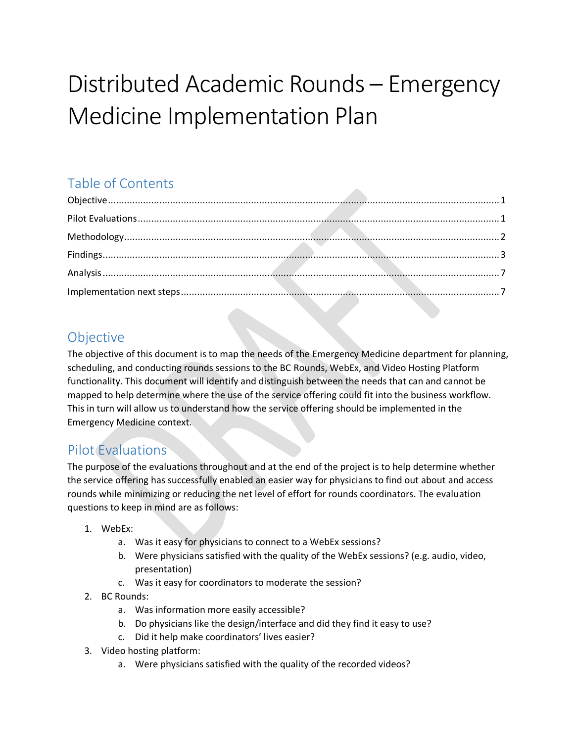# Distributed Academic Rounds – Emergency Medicine Implementation Plan

## Table of Contents

## <span id="page-0-0"></span>Objective

The objective of this document is to map the needs of the Emergency Medicine department for planning, scheduling, and conducting rounds sessions to the BC Rounds, WebEx, and Video Hosting Platform functionality. This document will identify and distinguish between the needs that can and cannot be mapped to help determine where the use of the service offering could fit into the business workflow. This in turn will allow us to understand how the service offering should be implemented in the Emergency Medicine context.

#### <span id="page-0-1"></span>Pilot Evaluations

The purpose of the evaluations throughout and at the end of the project is to help determine whether the service offering has successfully enabled an easier way for physicians to find out about and access rounds while minimizing or reducing the net level of effort for rounds coordinators. The evaluation questions to keep in mind are as follows:

- 1. WebEx:
	- a. Was it easy for physicians to connect to a WebEx sessions?
	- b. Were physicians satisfied with the quality of the WebEx sessions? (e.g. audio, video, presentation)
	- c. Was it easy for coordinators to moderate the session?
- 2. BC Rounds:
	- a. Was information more easily accessible?
	- b. Do physicians like the design/interface and did they find it easy to use?
	- c. Did it help make coordinators' lives easier?
- 3. Video hosting platform:
	- a. Were physicians satisfied with the quality of the recorded videos?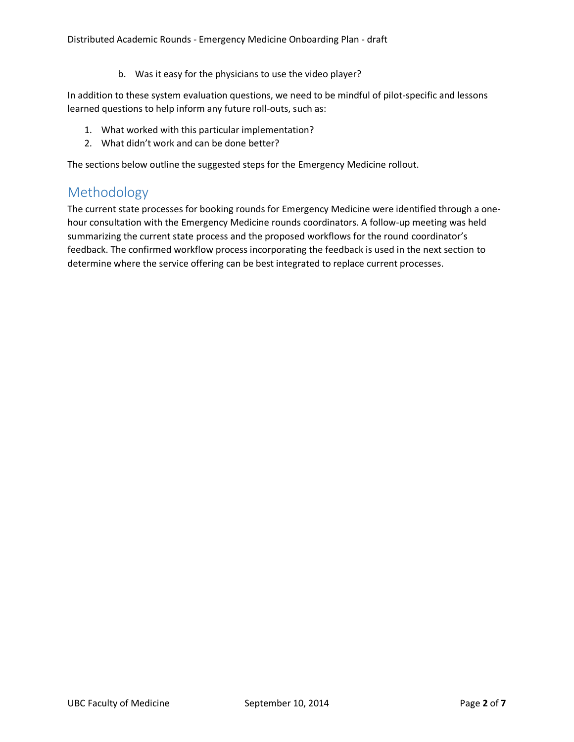b. Was it easy for the physicians to use the video player?

In addition to these system evaluation questions, we need to be mindful of pilot-specific and lessons learned questions to help inform any future roll-outs, such as:

- 1. What worked with this particular implementation?
- 2. What didn't work and can be done better?

The sections below outline the suggested steps for the Emergency Medicine rollout.

#### <span id="page-1-0"></span>Methodology

The current state processes for booking rounds for Emergency Medicine were identified through a onehour consultation with the Emergency Medicine rounds coordinators. A follow-up meeting was held summarizing the current state process and the proposed workflows for the round coordinator's feedback. The confirmed workflow process incorporating the feedback is used in the next section to determine where the service offering can be best integrated to replace current processes.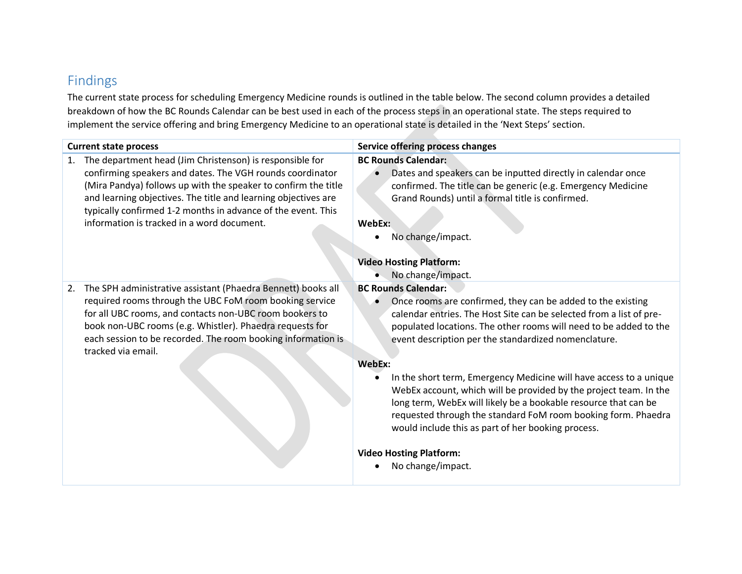## Findings

The current state process for scheduling Emergency Medicine rounds is outlined in the table below. The second column provides a detailed breakdown of how the BC Rounds Calendar can be best used in each of the process steps in an operational state. The steps required to implement the service offering and bring Emergency Medicine to an operational state is detailed in the 'Next Steps' section.

<span id="page-2-0"></span>

| <b>Current state process</b>                                                                                                                                                                                                                                                                                                                                                  | Service offering process changes                                                                                                                                                                                                                                                                                                                                                                                                                                                                                                                                                                                                                                                                    |
|-------------------------------------------------------------------------------------------------------------------------------------------------------------------------------------------------------------------------------------------------------------------------------------------------------------------------------------------------------------------------------|-----------------------------------------------------------------------------------------------------------------------------------------------------------------------------------------------------------------------------------------------------------------------------------------------------------------------------------------------------------------------------------------------------------------------------------------------------------------------------------------------------------------------------------------------------------------------------------------------------------------------------------------------------------------------------------------------------|
| The department head (Jim Christenson) is responsible for<br>1.<br>confirming speakers and dates. The VGH rounds coordinator<br>(Mira Pandya) follows up with the speaker to confirm the title<br>and learning objectives. The title and learning objectives are<br>typically confirmed 1-2 months in advance of the event. This<br>information is tracked in a word document. | <b>BC Rounds Calendar:</b><br>Dates and speakers can be inputted directly in calendar once<br>confirmed. The title can be generic (e.g. Emergency Medicine<br>Grand Rounds) until a formal title is confirmed.<br>WebEx:<br>No change/impact.<br><b>Video Hosting Platform:</b><br>No change/impact.                                                                                                                                                                                                                                                                                                                                                                                                |
| The SPH administrative assistant (Phaedra Bennett) books all<br>2.<br>required rooms through the UBC FoM room booking service<br>for all UBC rooms, and contacts non-UBC room bookers to<br>book non-UBC rooms (e.g. Whistler). Phaedra requests for<br>each session to be recorded. The room booking information is<br>tracked via email.                                    | <b>BC Rounds Calendar:</b><br>Once rooms are confirmed, they can be added to the existing<br>calendar entries. The Host Site can be selected from a list of pre-<br>populated locations. The other rooms will need to be added to the<br>event description per the standardized nomenclature.<br>WebEx:<br>In the short term, Emergency Medicine will have access to a unique<br>WebEx account, which will be provided by the project team. In the<br>long term, WebEx will likely be a bookable resource that can be<br>requested through the standard FoM room booking form. Phaedra<br>would include this as part of her booking process.<br><b>Video Hosting Platform:</b><br>No change/impact. |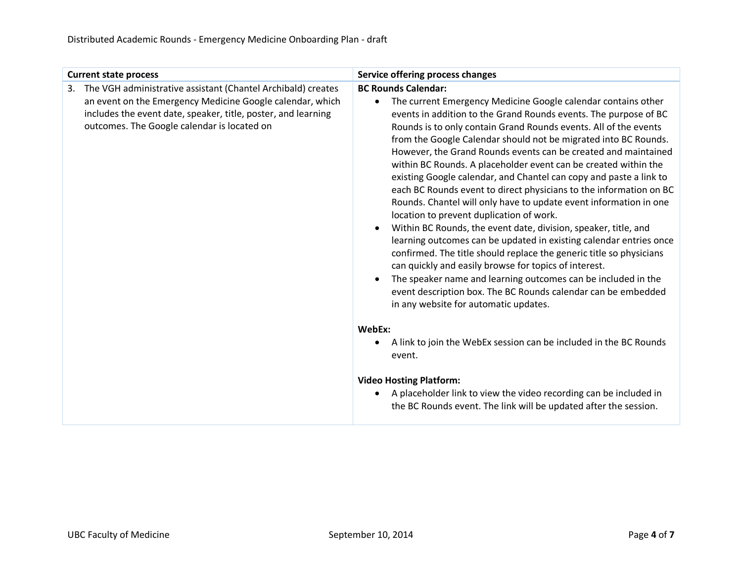| <b>Current state process</b>                                                                                                                                                                                                                    | Service offering process changes                                                                                                                                                                                                                                                                                                                                                                                                                                                                                                                                                                                                                                                                                                                                                                                                                                                                                                                                                                                                                                                                                                                                                       |
|-------------------------------------------------------------------------------------------------------------------------------------------------------------------------------------------------------------------------------------------------|----------------------------------------------------------------------------------------------------------------------------------------------------------------------------------------------------------------------------------------------------------------------------------------------------------------------------------------------------------------------------------------------------------------------------------------------------------------------------------------------------------------------------------------------------------------------------------------------------------------------------------------------------------------------------------------------------------------------------------------------------------------------------------------------------------------------------------------------------------------------------------------------------------------------------------------------------------------------------------------------------------------------------------------------------------------------------------------------------------------------------------------------------------------------------------------|
| The VGH administrative assistant (Chantel Archibald) creates<br>3.<br>an event on the Emergency Medicine Google calendar, which<br>includes the event date, speaker, title, poster, and learning<br>outcomes. The Google calendar is located on | <b>BC Rounds Calendar:</b><br>The current Emergency Medicine Google calendar contains other<br>$\bullet$<br>events in addition to the Grand Rounds events. The purpose of BC<br>Rounds is to only contain Grand Rounds events. All of the events<br>from the Google Calendar should not be migrated into BC Rounds.<br>However, the Grand Rounds events can be created and maintained<br>within BC Rounds. A placeholder event can be created within the<br>existing Google calendar, and Chantel can copy and paste a link to<br>each BC Rounds event to direct physicians to the information on BC<br>Rounds. Chantel will only have to update event information in one<br>location to prevent duplication of work.<br>Within BC Rounds, the event date, division, speaker, title, and<br>$\bullet$<br>learning outcomes can be updated in existing calendar entries once<br>confirmed. The title should replace the generic title so physicians<br>can quickly and easily browse for topics of interest.<br>The speaker name and learning outcomes can be included in the<br>event description box. The BC Rounds calendar can be embedded<br>in any website for automatic updates. |
|                                                                                                                                                                                                                                                 | WebEx:<br>A link to join the WebEx session can be included in the BC Rounds<br>event.                                                                                                                                                                                                                                                                                                                                                                                                                                                                                                                                                                                                                                                                                                                                                                                                                                                                                                                                                                                                                                                                                                  |
|                                                                                                                                                                                                                                                 | <b>Video Hosting Platform:</b><br>A placeholder link to view the video recording can be included in<br>the BC Rounds event. The link will be updated after the session.                                                                                                                                                                                                                                                                                                                                                                                                                                                                                                                                                                                                                                                                                                                                                                                                                                                                                                                                                                                                                |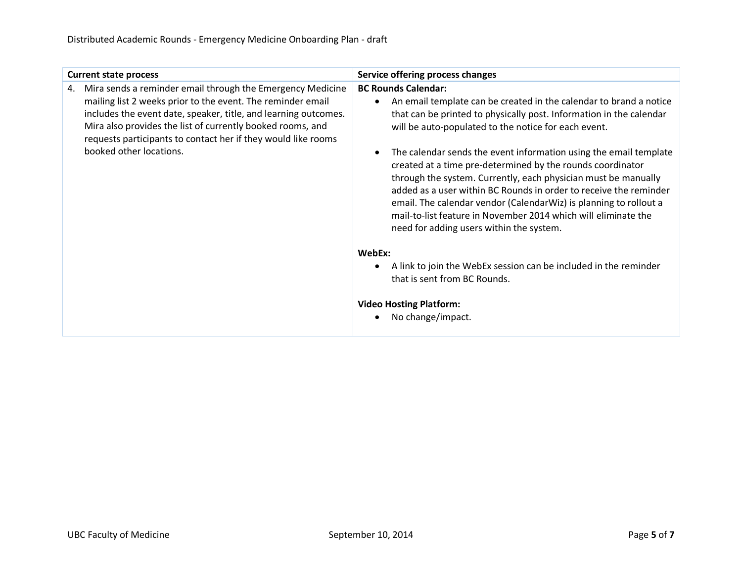| <b>Current state process</b>                                                                                                                                                                                                                                                                                                                                 | Service offering process changes                                                                                                                                                                                                                                                                                                                                                     |
|--------------------------------------------------------------------------------------------------------------------------------------------------------------------------------------------------------------------------------------------------------------------------------------------------------------------------------------------------------------|--------------------------------------------------------------------------------------------------------------------------------------------------------------------------------------------------------------------------------------------------------------------------------------------------------------------------------------------------------------------------------------|
| Mira sends a reminder email through the Emergency Medicine<br>4.<br>mailing list 2 weeks prior to the event. The reminder email<br>includes the event date, speaker, title, and learning outcomes.<br>Mira also provides the list of currently booked rooms, and<br>requests participants to contact her if they would like rooms<br>booked other locations. | <b>BC Rounds Calendar:</b><br>An email template can be created in the calendar to brand a notice<br>that can be printed to physically post. Information in the calendar<br>will be auto-populated to the notice for each event.<br>The calendar sends the event information using the email template                                                                                 |
|                                                                                                                                                                                                                                                                                                                                                              | created at a time pre-determined by the rounds coordinator<br>through the system. Currently, each physician must be manually<br>added as a user within BC Rounds in order to receive the reminder<br>email. The calendar vendor (CalendarWiz) is planning to rollout a<br>mail-to-list feature in November 2014 which will eliminate the<br>need for adding users within the system. |
|                                                                                                                                                                                                                                                                                                                                                              | WebEx:                                                                                                                                                                                                                                                                                                                                                                               |
|                                                                                                                                                                                                                                                                                                                                                              | A link to join the WebEx session can be included in the reminder                                                                                                                                                                                                                                                                                                                     |
|                                                                                                                                                                                                                                                                                                                                                              | that is sent from BC Rounds.                                                                                                                                                                                                                                                                                                                                                         |
|                                                                                                                                                                                                                                                                                                                                                              | <b>Video Hosting Platform:</b>                                                                                                                                                                                                                                                                                                                                                       |
|                                                                                                                                                                                                                                                                                                                                                              | No change/impact.                                                                                                                                                                                                                                                                                                                                                                    |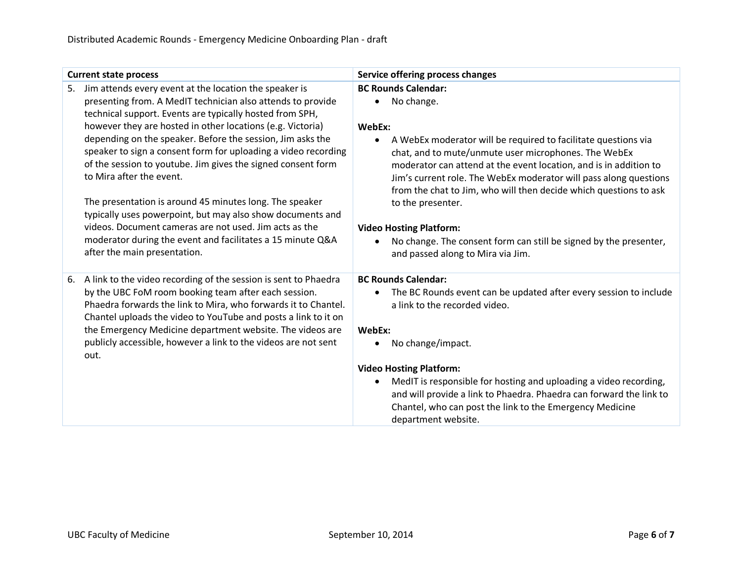| <b>Current state process</b>                                                                                                                                                                                                                                                                                                                                                                                    | Service offering process changes                                                                                                                                                                                                                                                                                                                                                  |
|-----------------------------------------------------------------------------------------------------------------------------------------------------------------------------------------------------------------------------------------------------------------------------------------------------------------------------------------------------------------------------------------------------------------|-----------------------------------------------------------------------------------------------------------------------------------------------------------------------------------------------------------------------------------------------------------------------------------------------------------------------------------------------------------------------------------|
| Jim attends every event at the location the speaker is<br>5.<br>presenting from. A MedIT technician also attends to provide<br>technical support. Events are typically hosted from SPH,                                                                                                                                                                                                                         | <b>BC Rounds Calendar:</b><br>No change.                                                                                                                                                                                                                                                                                                                                          |
| however they are hosted in other locations (e.g. Victoria)<br>depending on the speaker. Before the session, Jim asks the<br>speaker to sign a consent form for uploading a video recording<br>of the session to youtube. Jim gives the signed consent form<br>to Mira after the event.<br>The presentation is around 45 minutes long. The speaker<br>typically uses powerpoint, but may also show documents and | WebEx:<br>A WebEx moderator will be required to facilitate questions via<br>$\bullet$<br>chat, and to mute/unmute user microphones. The WebEx<br>moderator can attend at the event location, and is in addition to<br>Jim's current role. The WebEx moderator will pass along questions<br>from the chat to Jim, who will then decide which questions to ask<br>to the presenter. |
| videos. Document cameras are not used. Jim acts as the<br>moderator during the event and facilitates a 15 minute Q&A<br>after the main presentation.                                                                                                                                                                                                                                                            | <b>Video Hosting Platform:</b><br>No change. The consent form can still be signed by the presenter,<br>and passed along to Mira via Jim.                                                                                                                                                                                                                                          |
| A link to the video recording of the session is sent to Phaedra<br>6.<br>by the UBC FoM room booking team after each session.<br>Phaedra forwards the link to Mira, who forwards it to Chantel.<br>Chantel uploads the video to YouTube and posts a link to it on                                                                                                                                               | <b>BC Rounds Calendar:</b><br>The BC Rounds event can be updated after every session to include<br>a link to the recorded video.                                                                                                                                                                                                                                                  |
| the Emergency Medicine department website. The videos are<br>publicly accessible, however a link to the videos are not sent<br>out.                                                                                                                                                                                                                                                                             | WebEx:<br>No change/impact.                                                                                                                                                                                                                                                                                                                                                       |
|                                                                                                                                                                                                                                                                                                                                                                                                                 | <b>Video Hosting Platform:</b>                                                                                                                                                                                                                                                                                                                                                    |
|                                                                                                                                                                                                                                                                                                                                                                                                                 | MedIT is responsible for hosting and uploading a video recording,<br>$\bullet$<br>and will provide a link to Phaedra. Phaedra can forward the link to<br>Chantel, who can post the link to the Emergency Medicine<br>department website.                                                                                                                                          |